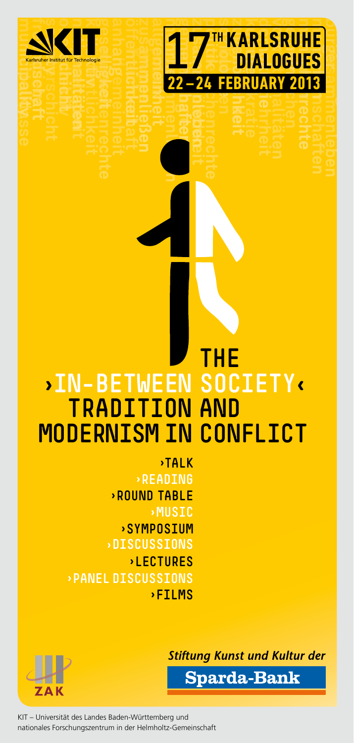



## *THE* **›In-Between Society‹ Tradition and Modernism in Conflict**

**›TALK ›Reading ›Round Table ›Music ›Symposium ›DISCUSSIONS ›LECTURES ›PANEL discussions ›Films**

**Stiftung Kunst und Kultur der** 

**Sparda-Bank** 

KIT – Universität des Landes Baden-Württemberg und nationales Forschungszentrum in der Helmholtz-Gemeinschaft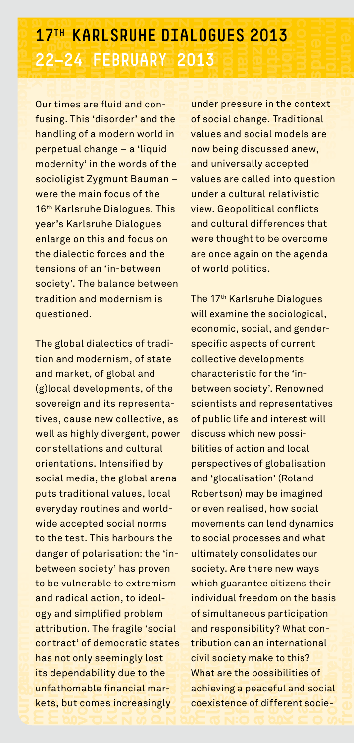22-24 **FEBRUARY** 2013<br>
Our times are fluid and con-<br>
fusing. This 'disorder' and the of social<br>
handling of a modern world in values<br>
perpetual change – a 'liquid now be<br>
modernity' in the words of the and un **FRICARL**<br> **media**<br> **media**<br> **media**<br> **media**<br> **c**<br> **media 1**<br> **2**<br> **1**<br> **2**<br> **0**<br> **0**<br> **1**<br> **1**<br> **1**<br> **1**<br> **1**<br> **1** Our times are fluid and confusing. This 'disorder' and the handling of a modern world in perpetual change – a 'liquid modernity' in the words of the socioligist Zygmunt Bauman – were the main focus of the 16th Karlsruhe Dialogues. This year's Karlsruhe Dialogues enlarge on this and focus on the dialectic forces and the tensions of an 'in-between society'. The balance between tradition and modernism is questioned.

**demokratie** 

danger c<br>betweer<br>to be vul<br>and radi<br>ogy and<br>attribution<br>tract<br>has not<br>its depe national<br> **ne**<br> **cal**<br> **sim**<br> **onl**<br> **nda**<br> **na vie**<br>**v**ab<br>**aci**<br>**pli**<br>**Th**<br>**f** de<br>**y** se<br>**abil** tior<br>fied<br>e fi<br>em<br>ity<br>ity ogy and simplified problem<br>attribution. The fragile 'soc<br>contract' of democratic sta<br>has not only seemingly lost<br>its dependability due to the<br>unfathomable financial mar **che**<br> **menscher**<br> **menscher**<br> **sta**<br> **cher**<br> **cher**<br> **cher**<br> **ma zugehörichkeit soziologie zusammenließen gruppe burger menschen als experience**<br> **burger menschen 2 be**<br>**s** is the set of the set of the *s* is defected<br>**head**<br>**ts** , ract' of<br> **gemeinde**<br> **cologies**<br> **but cologies** Th<br>**de**<br>**de**<br>bile<br>ome **kulturen**<br>**ity**<br>is in **z**<br>**z** is deel-<br>**z**<br>**z** is social cratic states<br>ingly lost<br>**due to the**<br>**nocial mar-**<br>**noceasingly** danger **c**<br>be vu<br>and radio ogy and<br>attribut<br>contrace<br>has not<br>its depe n sc<br>
lne<br>
cal<br>
sin<br>
ion<br>
t' o<br>
nda<br>
ma **v**icle<br>rab<br>ac<br>pli<br>Fide<br>y se<br>abile tion<br>fier<br>e f<br>emokratie ity<br>ity<br>fin **che**<br> **menscher**<br> **menscher**<br> **sta**<br> **cher**<br> **cher**<br> **ma z**<br>**zubsammenling**<br>**zubsammenling**<br>**zubsammenling**<br> **zubsammenling**<br> **zubsammenling**<br> **zubsammenling**<br> **zubsammenling**<br> **zubsammenling**<br> **zubsammenling burger menschen Mans** <mark>Th</mark><br>de<br>bile<br>ble<br>ome **kulturen**<br>**ity**<br>and items **z**<br>**z** *i s i s i s i s i s i s s i s s i s i s i s i s i s i s i s i s i s i s i s i s i s i s i s i s i s i s i s* The global dialectics of tradition and modernism, of state and market, of global and (g) local developments, of the sovereign and its representatives, cause new collective, as well as highly divergent, power constellations and cultural orientations. Intensified by social media, the global arena puts traditional values, local everyday routines and worldwide accepted social norms to the test. This harbours the danger of polarisation: the 'inbetween society' has proven to be vulnerable to extremism and radical action, to ideolattribution. The fragile 'social contract' of democratic states has not only seemingly lost its dependability due to the unfathomable financial markets, but comes increasingly

**frage**<br>**free prepared and**<br>**i** being<br>**unive nationality**<br> **nationality**<br>  $\frac{1}{2}$ <br>  $\frac{1}{2}$ <br>  $\frac{1}{2}$ <br>  $\frac{1}{2}$ <br>  $\frac{1}{2}$ <br>  $\frac{1}{2}$ <br>  $\frac{1}{2}$ <br>  $\frac{1}{2}$ <br>  $\frac{1}{2}$ **oberschicht**<br>The inge<br>Pocia **nationalitäten**<br> **n**<br> **i**<br> **i**<br> **i**<br> **i**<br> **i kollective**<br>**he con<br>adition<br>id anew communities**<br>text and<br>are<br>w, **mittelklasse society nationalities**<br> **he**<br>
adi **communities frameworks**<br> **context**<br> **context**<br> **context**<br> **context**<br> **context nationality**<br>ssue<br>discribies<br>gidiscribies **oberschiff**<br>**oberschicht**<br>**oberschieden**<br>**internationalitäten**<br> **geselligkeit**<br> **geselligkeit**<br> **geselligkeite**<br> **geselligkeite communities mittelklasses**<br> **communities**<br> **communities**<br> **are**<br> **communities**  of social change. Traditional **communities framework**<br> **communicipality**<br> **context**<br> **context**<br> **context**<br> **context**<br> **context** under pressure in the context values and social models are now being discussed anew, and universally accepted values are called into question under a cultural relativistic view. Geopolitical conflicts and cultural differences that were thought to be overcome are once again on the agenda of world politics.

**freundschaft society** 

**freundschaft**

**political freedom on the bala imultaneous participation**<br> **polynomial freedom international solution**<br> **example is to the self of the self of the self of the self of the self of the self of the self of the self of the sel guarar<br>Lal freunds**<br>**ponsi**<br>**ponsi**<br>ciety<br>**re the**<br>**ng a** p **allengerish**<br>**allengerish**<br>**allengerish**<br>**allengerish**<br>**allengerish**<br>**allengerish**<br>**allengerish**<br>**allengerish**<br>**eacefi** tize<br>on<br>rtic<br>Wh<br>ern<br>o th<br>pilit<br>wl a <mark>obers</mark><br> **b**<br> **c**<br> **ial** whide<br>
ind<br>
of s<br>
and<br>
strike<br>
whide<br>
cose<br>
and<br>
cose **ch guality**<br>imultaines<br>**different**<br>**l** socient<br>**alles**<br>**different**<br>**alles**<br>**different**<br>**different offering**<br> **offering**<br> **offering**<br> **of**<br> **of**<br> **of an intern<br>and intern<br>make to the<br>possibilit<br>eaceful a<br>pf differe nationalization**<br> **national**<br> **nationalization cor**<br>
of<br> **oci**<br>
oci **society**<br>**f**<br>**society**<br>**f policial freedom on the bala<br>
<b>policial freedom on the bala**<br> **policial freedom is a policial freedom in the fragmental discrepation**<br> **policial fragmental fragmental fragmental fragmental fragmental fragmental fragmental allgement<br>theitheitheith**<br>**allgemein**<br>**allgemein**<br>**allgemeinscheit**<br>**allgemeinscheit**<br>**allgemeinscheit**<br>**allgemeinscheit**<br>**bleaceful**<br>**a o**<br>**obers**<br>let<br>ial wh<br>ind<br>of s<br>and<br>strike cive<br>where the core<br>and **allentifier by the internal state**<br>**allentifier by the internal state**<br>**allentifier by the internal state**<br>**allentifier**  of simultaneous participation **an interreduces**<br>**and interreduces**<br>**b**<br>**differeduces**<br>**c**<br>**differeduce nationalization**<br> **national**<br> **nd**<br> **nd**<br> **nt**<br> **c**  and responsibility? What con-The 17th Karlsruhe Dialogues will examine the sociological, economic, social, and genderspecific aspects of current collective developments characteristic for the 'inbetween society'. Renowned scientists and representatives of public life and interest will discuss which new possibilities of action and local perspectives of globalisation and 'glocalisation' (Roland Robertson) may be imagined or even realised, how social movements can lend dynamics to social processes and what ultimately consolidates our society. Are there new ways which guarantee citizens their individual freedom on the basis tribution can an international civil society make to this? What are the possibilities of achieving a peaceful and social coexistence of different socie-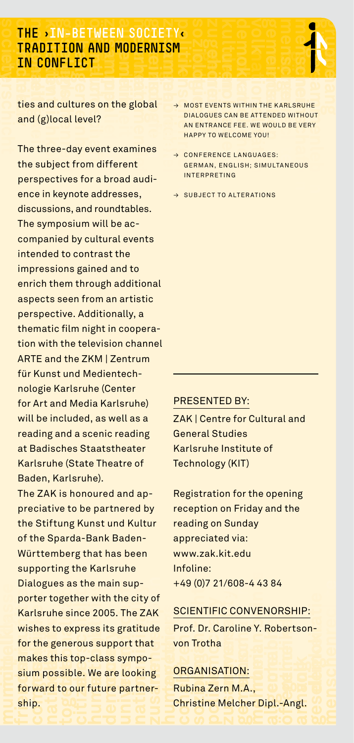#### **political confidence**<br> **politics**<br> **politics** and cultures on the global **TH<br>TR<br>Lie**<br>tie **nationalitäten kollektiv genuary FRADITION AND MODERNISM<br>
<b>IN CONFLICT**<br> **ties and cultures on the global**<br>
and (g)|soc||syc|2 **i**<br>**MR**<br>so<br>al? **zerven**<br>**D MOD**<br>**allen**<br>**allgement**<br>**b**<br>**fferent mehrheit gemeinschaften**<br> **mehrheit gemeinschaften**<br> **mehrheit**<br> **mehrheit free State**<br> **free State**<br> **free State**<br> **draw**<br> **draw**<br> **draw**<br> **draw**<br> **draw FM**<br>AN<br>so<br>so<br>el? **allent**<br>**allent**<br>**allent**<br>**allent**<br>**allent**<br>**allent mehrheit gemeinschaften**<br>**Mehrheit**<br>Mehr<br>Amerikanischaften<br>Amerika **Tradition and Modernism**

**kollective in**<br> **in confliction**<br> **in g**)<br> **i**nce the state of the three-day of **f**<br>**g**<br>**g**<br>**g**<br>**g**<br>**g**<br>**g**<br>**g**<br>**g society society**<br>ties and (g<br>The th and (g)local level?

**oberschicht**

**freundschaft society** 

**ÖN**<br>Idio<br>Jloo<br>ree<br>bje **FLIC**<br> **ulture**<br> **callevented**<br> **collect**<br> **interpretention zubal**<br> **zubal**<br> **zubehöricheite**<br> **zubehöricheite**<br> **zubehöricheite**<br> **zubehöricheite**  the subject from different **FLICT**<br>bultures on t<br>cal level?<br>dives for a brupper<br>exporte address **zusammenligenießen**<br> **zusammenligenie**<br> **zusammenligenie**n<br> **zusammenligenie**n **ERENTEE IN: DETWEEN SOCIETY**<br> **All GRONTION AND MODERNISM**<br>
THE CHRONTION MODERNISM<br>
THE CHRONTION CONFIDENT CONFIDENT CONFIDENT CONFIDENT CONFIDENT CONFIDENT CONFIDENT CONFIDENT CONFIDENT CONFIDENT CONFIDENT CONFIDENTIES The three-day event examines perspectives for a broad audience in keynote addresses, discussions, and roundtables. The symposium will be accompanied by cultural events intended to contrast the impressions gained and to enrich them through additional aspects seen from an artistic perspective. Additionally, a thematic film night in cooperation with the television channel ARTE and the ZKM | Zentrum für Kunst und Medientechnologie Karlsruhe (Center for Art and Media Karlsruhe) will be included, as well as a reading and a scenic reading at Badisches Staatstheater Karlsruhe (State Theatre of Baden, Karlsruhe).

Dia<br>
po<br>
Ka<br>
wi<br>
fol<br>
ma<br>
sit<br>
fol **geselvent**<br>**geselvent**<br>**holdent**<br>**kollektiv**<br>**kollective**<br>**kollective**<br>**kollective**<br>**kollective** ng<br>sa<br>get<br>e si<br>e<br>ist<br>ist<br>ist **her**<br> **pre**<br> **rou**<br> **op**<br> **le.**<br> **ur** re m<br>Pationalities<br>India<br>Pationalities<br>India<br>Pationalities rain su<br>th the<br>05. Th<br>its gra<br>upport<br>ss syn<br>are lo<br>ure pa **municipality friendship together citizen Municipality for the make sign forward shipp n**<br>**n**<br>**n**<br>**n**<br>**n**<br>**n**<br>**n**<br>**n therefore**<br> **to our<br>
City**<br> **c**<br>
City **h** also see the sees its gratitudes is apport that<br>class sympo<br>**We are looking**<br>**democracy**<br>**democracy**<br>**democracy zummenlight**<br> **zummenlight**<br> **zummenlight**<br> **zummenlight Di** pc<br> **Ka**<br> **ka**<br> **k**<br> **communities geselvent**<br>**geselvent**<br>**geselvent**<br>**geselvent**<br>**impos**<br>impos s the main su<br>her with the<br>ince 2005. Th<br>press its gra<br>rous support<br>le. We are lo<br>our future pa porter together with the city of AK <u>SCI</u><br>
ude Pro<br>
at von<br>
ng <u>OR(</u><br>
er- Rub **friends**<br>**for th**<br>**make**<br>**sium**<br>**forwa**<br>**ship. nation**<br>esthese<br>and these makes this top-class sympo-<br>sium possible. We are looking<br>forward to our future partne<br>ship.<br>**condition**<br> $\Box$  **condition h** 2005. The Z<br> **human rightsdepton**<br> **class sympot the class sympot we are looking the conditionally<br>
<b>future partn zusammenlight +49**<br> **zusammenlight being considered**<br> **zusammenlight being considered**<br> **zusammenlight being considered**<br> **zusammenlight being considered** The ZAK is honoured and appreciative to be partnered by the Stiftung Kunst und Kultur of the Sparda-Bank Baden-Württemberg that has been supporting the Karlsruhe Dialogues as the main sup-Karlsruhe since 2005. The ZAK wishes to express its gratitude for the generous support that sium possible. We are looking forward to our future partnership.

menschen an der Franz der Erikannen und der Franz der Erikannen und der Erikannen und der Erikannen und der Erikannen und der Erikannen und der Erikannen und der Erikannen und der Erikannen und der Erikannen und der Erikan **kulturen**<br> **kulturen gemeinde**<br> **kulturen gemeinde**<br> **kulturen gemeinde**n<br> **kulturen gem**einde **demokratie and the contract of the contract of the contract of the contract of the contract of the contract of the contract of the contract of the contract of the contract of the contract of the contract of the contract o volk mehrheit nationalitäten in de vice**<br> **nationalitäten vice**<br> **vice**<br> **vice**<br> **vice**<br> **sin menscher Bürger gemeinschaften**<br>Einer Karlsruh<br>Menschen Berger<br>Es:<br>Nis **zusammenleben anhang zusammenleben<br>
zusammenleben**<br> **politik soziologies**<br> **zugehörichen**<br> **politik soziologies**<br>
→ conference **demokratie volk gemeinde MENSCHENRECHER menscher Bürger gruppe menschenrechte demokratie and the second second nationalitäten III Transference**<br>
III Transference<br>
III Transference<br>
III SIN<br>
III SIN **menschen bürger gemeinschaften**<br>Expediations<br>**Menschen beweinschaften**<br>ES:<br>Nexter gemeinschaften in der Karlingen<br>Nexter after ausgemeinschaften in der Karlingen<br>Nexter after ausgemeinschaften in der Karlingen<br>Nexter ausg **soziologie<br>
<b>Soziologie**<br> **Soziologie**<br> **Soziologiee**<br> **Zoziologiee**<br> **Zoziologiee**<br> **Zoziologiee**<br> **Zoziologiee**  an entrance fee. We would be very **volk gemeinde Menschenrechte**<br> **MENSCHENRECHTER**<br> **MENSCHENRE** → MOST EVENTS WITHIN THE KARLSRUHE Dialogues can be attended without happy to welcome you!

**anhang** 

 $\boldsymbol{h}$ 

**kulturen** 

- $\rightarrow$  CONFERENCE LANGUAGES: German, English; simultaneous interpreting
- → SUBJECT TO ALTERATIONS

#### PRESENTED BY:

ZAK | Centre for Cultural and General Studies Karlsruhe Institute of Technology (KIT)

Registration for the opening reception on Friday and the reading on Sunday appreciated via: www.zak.kit.edu Infoline: +49 (0)7 21/608-4 43 84

#### SCIENTIFIC CONVENORSHIP:

**h**<br>**entific confinity**<br>**f. Dr. Caroline<br>Trotha<br>BANISATION:<br>ina Zern M.A 4 43 8<br>
<u>VENO</u><br>
PY. Rol<br>
Composited<br>
Composited</u> generischer Properties**<br> **gemeinde**<br> **gemeinde demokratie in demokratie in demokratie in demokratie in de staat de staat de staat de staat de staat de staat**<br>Demokratie van de staat de staat de staat de staat de staat de staat de staat de staat de staat de staat de st **human being conditions**<br> **human**<br> **human**<br> **human**<br> **cohabit and an internet menschenre**<br> **and an internet menschenre**<br> **geselligen**<br> **geselligen 4 43 8<br><u>IVENO</u><br>B Y. Rol**<br>L **demokratie in the contract of the contract of the contract of the contract of the contract of the contract of the contract of the contract of the contract of the contract of the contract of the contract of the contract of** Prof. Dr. Caroline Y. Robertsonvon Trotha

#### ORGANISATION:

**ENTIFIC C<br>ENTIFIC C**<br>F. Dr. Caro<br>Trotha<br>SANISATIC<br>Ina Zern I<br>Stine Mel 198-4 4<br>**CONVE**<br>Line Y.<br>2001<br>M.A.,<br>cher D **allent**<br>Rober<br>ipl.-Ar<br>ipl.-Ar **i** (0)/ 21/608-4 4<br>**ENTIFIC CONVE**<br>**f. Dr. Caroline Y.**<br>Trotha<br>**GANISATION:**<br>ina Zern M.A.,<br>istine Melcher D. Rubina Zern M.A., Christine Melcher Dipl.-Angl.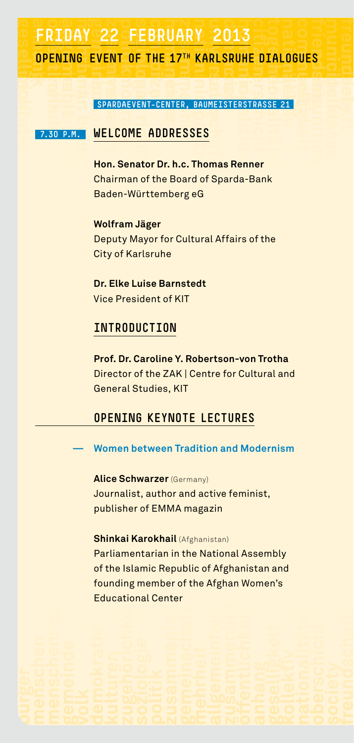# **geselligkeit anhang** FRIDAY 22 FEBRUARY 2013<br>
OPENING EVENT OF THE 17<sup>TH</sup> KARLSRUHE<br>
SPARDAEVENT-CENTER, BAUMEISTERST<br>
7.30 P.M. WELCOME ADDRESSES AY<br> **GEVI**<br>
SE<br>
WE<br>
HR **zusammenligen**<br>External<br>Constant **ERIDAY 22 FEBRUARY 2013**<br> **OPENING EVENT OF THE 17<sup>TH</sup> KARLSRUHE DIALD<br>
SPARDAEVENT-CENTER, BAUMEISTERSTRASSE 21<br>
7.30 P.M. WELCOME ADDRESSES<br>
Hon. Senator Dr. h.c. Thomas Renner**

#### **volk gemeinde**<br> **volk gemeinde**<br> **v** 30 **EVENT OF THE 17<sup>TH</sup> KA<br>
<b>SPARDAEVENT-CENTER, BAU**<br> **WELCOME ADDRESSES**<br> **Hop Sepator Dr. b.c. The freuski**<br>**society**<br> **society**<br> **society DHE**<br>Inst<br>Inst **berschichten**<br>Berschichten<br>Berschichte **nationalitäten kollektiv gestelligten.**<br>Bestellig<br>21 **communities city**<br> **together**<br> **together**<br> **together nationalities**<br>21<br>21 **communities friendship municipality OPENING EVENT of the 17th Karlsruhe Dialogues**

**mittelklasse society** 

**freundschaft society** 

# **comabit <b>human** being<br> **human** beings **human** beings **being**<br> **human** beings **human** beings **human** beings and the set of the set of the set of the set of the set of the set of the set of the set of the set of the set of  **7.30 p.m. Welcome addresses**

**demokratie** 

**Hon. Senator Dr. h.c. Thomas Renner** Chairman of the Board of Sparda-Bank Baden-Württemberg eG

**Wolfram Jäger** Deputy Mayor for Cultural Affairs of the City of Karlsruhe

**Dr. Elke Luise Barnstedt** Vice President of KIT

#### **Introduction**

**Prof. Dr. Caroline Y. Robertson-von Trotha** Director of the ZAK | Centre for Cultural and General Studies, KIT

#### **Opening keynote lectures**

**— Women between Tradition and Modernism**

**Alice Schwarzer** (Germany) Journalist, author and active feminist, publisher of EMMA magazin

#### **Shinkai Karokhail** (Afghanistan)

**v**<br>**b**<br>**d**<br>**d**<br><br><br><br><br><br><br><br><br><br><br><br><br><br><br><br><br><br><br><br><br><br><br><br><br> **demokratie Enter mental**<br> **employed**<br> **Certe zugehörich:**<br> **zusammenligenischer Soziologie<br>
<u>zusammenlige</u><br>
<u>zusammenlige</u><br>
<u>zusammenligen</u> gruppe**<br>**free of the unit of the unit of the unit**<br>contract to the unit of the unit of the unit<br>contract to the unit of the unit of the unit of the unit of the unit<br>contract to the unit of the unit of the unit of the unit **allgemeinheiten**<br>allem and menschen<br>allem and menschen<br>allem and menschen **biktiv zugehörich alternational Center**<br>**zugehörige**<br>**politik zusammenleben**<br>**politik zusammenleben**<br>**politik zusammenleben gemeinschaften mehrheit afghar<br>allgemeinheit<br>allgemeinheit**  Parliamentarian in the National Assembly of the Islamic Republic of Afghanistan and founding member of the Afghan Women's Educational Center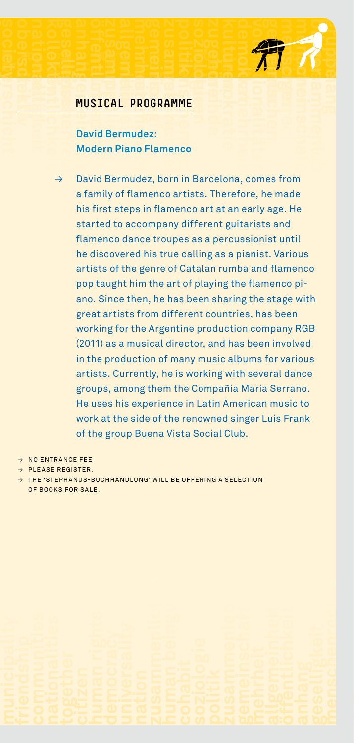# **MUSICAL PROGRAMME kollektiv geselligkeit anhang Sieheite**<br>Sieheite<br>Kid

### **freundschaft**<br>**freundschaft**<br>**gruppe**<br>**freundschaft zusammenligen**<br>**CAL F<br>Bermu**n<br>Piar **mehrheit gemeinschaften**<br>**Mehrheit gemeinschaften**<br>Gemeinschaften<br>De Flar **zusammenleben<br><b>politik soziologie**<br>**zugehöriche**<br> **AMME**<br> **nenco MUSICAL PROGRAMME**<br> **MUSICAL PROGRAMME**<br> **MUSICAL PROGRAMME**<br> **PROGRAMME**<br> **MUSICAL PROGRAMME**<br> **David Bermudez:**<br>
Modern Piano Flamenco  **David Bermudez: Modern Piano Flamenco**

**menscher**<br> **menscher Plans**<br> **allgemeinheit**<br> **a**<br> **a**<br> **a**<br> **a**<br> **a zusammenlight**<br> **zusammenlight**<br> **zusammenlight**<br> **zusammenlight**<br> **zusammenlight**<br> **zusammenlight menscher ME**<br> **ME**<br> **in**<br> **in**<br> **in volk mehrheit nationalitäten menscher Gemeinschaften**<br>Experimenten<br>Burger gemeinschaften **zusammenleben anhang**  → David Bermudez, born in Barcelona, comes from a family of flamenco artists. Therefore, he made his first steps in flamenco art at an early age. He started to accompany different guitarists and flamenco dance troupes as a percussionist until he discovered his true calling as a pianist. Various artists of the genre of Catalan rumba and flamenco pop taught him the art of playing the flamenco piano. Since then, he has been sharing the stage with great artists from different countries, has been working for the Argentine production company RGB (2011) as a musical director, and has been involved in the production of many music albums for various artists. Currently, he is working with several dance groups, among them the Compañia Maria Serrano. He uses his experience in Latin American music to work at the side of the renowned singer Luis Frank of the group Buena Vista Social Club.

**kulturen gemeinde demokratie** 

**kulturen demokratie volk gemeinde**

**menschenrechte** 

**menschen bürger gruppe**

 $\rightarrow$  NO ENTRANCE FEE

**etverschicht kollektiv geselligkeit öffentlichkeit** 

**freundschaft society oberschicht nationalitäten** 

- → Please register.
- → The 'Stephanus-Buchhandlung' will be offering a selection of books for sale.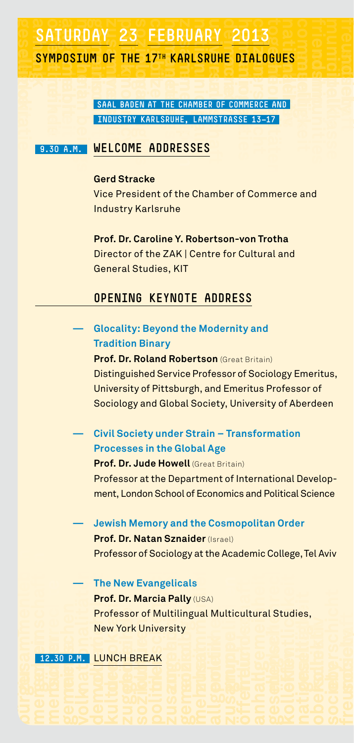### **volk gemeinde**<br> **volk gemeinde**<br> **volk gemeinde**<br> **volk gemeinde**<br> **volk gemeinde**<br> **volk gemeinde**<br> **volk gemeinde**<br> **volk gemeinde geselligkeit anhang** SATURDAY 23 FEBRUARY 2013<br>SYMPOSIUM OF THE 17<sup>TH</sup> KARLSRUHE DIALOGUE<br>SAAL BADEN AT THE CHAMBER OF COMMERCE AND<br>INDUSTRY KARLSRUHE, LAMMSTRASSE 13-17<br>9.30 A.M. | WELCOME ADDRESSES **aday**<br>Tum<br>Essenting Separations<br>In Merry Merry **zu**<br>Arie<br>Esse **citizen together Symposium of the 17th Karlsruhe Dialogues**

**comabiture of the 17<sup>th</sup> Karlsr (ADD)**<br> **EXAMPLE 2019 AND RIGHTS**<br> **COME ADDRESSES fuhe**<br>*society*<br>**society**<br>**f DIA<br>MME**<br>SE **oberschicht nationalitäten ali**<br>17<br>17 **ks<br>Best**<br>D **nationalities Industry Karlsruhe, LammstraSSe 13—17**

**communities mittelklasse society** 

**communities friendship municipality**

**freundschaft society** 

**demokratie** 

#### **Gerd Stracke**

 Vice President of the Chamber of Commerce and Industry Karlsruhe

**Prof. Dr. Caroline Y. Robertson-von Trotha** Director of the ZAK | Centre for Cultural and General Studies, KIT

#### **Opening keynote address**

| <b>Glocality: Beyond the Modernity and</b>               |
|----------------------------------------------------------|
| <b>Tradition Binary</b>                                  |
| <b>Prof. Dr. Roland Robertson (Great Britain)</b>        |
| Distinguished Service Professor of Sociology Emeritus,   |
| University of Pittsburgh, and Emeritus Professor of      |
| Sociology and Global Society, University of Aberdeen     |
| Civil Society under Strain - Transformation              |
| <b>Processes in the Global Age</b>                       |
| <b>Prof. Dr. Jude Howell (Great Britain)</b>             |
| Professor at the Department of International Develop-    |
| ment, London School of Economics and Political Science   |
| Jewish Memory and the Cosmopolitan Order                 |
| Prof. Dr. Natan Sznaider (Israel)                        |
| Professor of Sociology at the Academic College, Tel Aviv |
| <b>The New Evangelicals</b>                              |
| Prof. Dr. Marcia Pally (USA)                             |
| Professor of Multilingual Multicultural Studies,         |
| <b>New York University</b>                               |
|                                                          |
| 12.30 P.M. LUNCH BREAK                                   |
|                                                          |
|                                                          |
|                                                          |
|                                                          |

**gruppers aufgruppen**<br>Politiker menschen India<br>Bürger menschen India **menschenrechte 12.30 P.M. LUNCH B**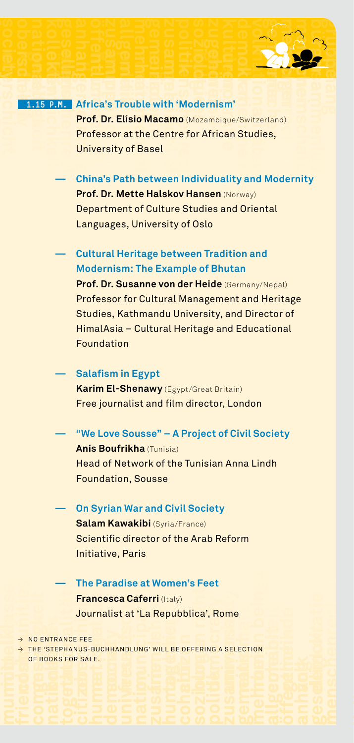# **kollektiv geselligheit**<br> **gestelligheit**<br> **gestelligheit bisheries oberschieden nationalitäten 1988 kollektiv geselligen geselligen geselligen geselligen geselligen geselligen geselligen geselligen geselligen ge**<br> **P.M.** Aft

**etverschicht** 

**freundschaft society** 

**menscher**<br> **I.** Afr<br> **Properties**<br> **Chi**<br> **Properties freundschaft**<br>**freundschaft**<br>**freundschaft**<br>**freundschaft political Strategy of Bandwick**<br> **City Control**<br> **Elisio Macamo** (Mozambi<br> **kulture of African African African African African African African African African African African African Africa zusammenlightning**<br> **zusammenlightning**<br> **zusammenlightning**<br> **zusammenlightning**<br> **zusammenlightning**<br> **zusammenlightning menscher Model**<br> **menscher Model**<br> **menscher Model**<br> **menscher Model demokratie in the motion of the motion of the motion of the motion of the motion of the motion of the motion of the motion of the motion of the motion of the motion of the motion of the motion of the motion of the motion volk mehrheit**<br> **v**olk mehr **nationalitäten**<br> **nationalitäten**<br> **nationalitäten menscher Bürger**<br>Eland)<br>Modernit<sub>!</sub> **offentlich einer der Frederich einer Einf**elt **zusammenligheden**<br>*zusammenlighed***<br>
<b>allgement**<br> **is Trou**<br> **sity of mehrheit general**<br> **mehreit gemeinschaften**<br> **in Mac**<br> **Basel zusammenleben<br>
<b>politic sociologie**<br> **politic sociologie**<br> **cologie**<br> **cologie**<br> **cologie**<br> **cologie**<br> **cologie**<br> **cologie**<br> **cologie**<br> **cologie**<br> **cologie demokratie menschenrechte menscherrer Professor at the Centre for African**<br> **menscherrer Professor at the Centre for African**<br> **Professor at the Centre for African**<br>
University of Basel **Prof. Dr. Elísio Macamo** (Mozambique/Switzerland) Professor at the Centre for African Studies, University of Basel

**kulturen** 

**volk gemeinde**

**menschen bürger gruppe**

**zusammenleben anhang anhang anhang an — China's Path between Individuality and Modernity**

**Prof. Dr. Mette Halskov Hansen** (Norway) Department of Culture Studies and Oriental Languages, University of Oslo

**— Cultural Heritage between Tradition and Modernism: The Example of Bhutan**

**Prof. Dr. Susanne von der Heide** (Germany/Nepal) Professor for Cultural Management and Heritage Studies, Kathmandu University, and Director of HimalAsia – Cultural Heritage and Educational Foundation

#### **— Salafism in Egypt**

**Karim El-Shenawy** (Egypt/Great Britain) Free journalist and film director, London

**— "We Love Sousse" – A Project of Civil Society**

**Anis Boufrikha** (Tunisia) Head of Network of the Tunisian Anna Lindh Foundation, Sousse

**— On Syrian War and Civil Society Salam Kawakibi** (Syria/France) Scientific director of the Arab Reform Initiative, Paris

**Fra**<br>**Journal**<br>EFF<br>RNS<br>RSA **e**<br>**Panc**<br>**E**<br>PBUC<br>LE. **scack**<br>**scack**<br>alist a<br>CHHANDL **aferri** (Italy)<br> **f** 'La Repubble<br> **computer computer c**<br> **computer c head is a feet**<br>**head is a select**<br>**democracy**<br>**nation zusammenlighter**<br> **zusammenlighter**<br> **zusammenlighter**<br> **zusammenlighter s Feet**<br> **politica**<br> **political**<br> **political**<br> **political**<br> **political — The Paradise at Women's Feet Francesca Caferri** (Italy) Journalist at 'La Repubblica', Rome

 $\rightarrow$  NO ENTRANCE FEE

**communities a gestallight**<br>The 'STE<br>DF BOOK **nationalitäten alian alian alian alian alian alian alian alian alian alian alian alian alian alian alian alian alian alian alian alian alian alian alian alian alian alian alian alian alian alian alian alian alian alian al human beings cohabit** → NOE<br>
→ THE<br>
OFB<br> **COMPUTER NTR**<br> **STE**<br> **COLLECTE** together **c human rights**<br> **human rights**<br> **democracy of the contract of the contract of the contract of the contract of the contract of the contract of the contract of the contract of the contract of the contract of the contract of human**<br> **human**<br> **human**<br> **human** gemeinschaften mehr der Mangen mehr der Antagen mehrheit am der Antagen mehr der Antagen mehr der Antagen mehr der Antagen mehr der Antagen mehr der Antagen mehr der Antagen mehr der Antagen mehr der Antagen mehr der Antag → The 'Stephanus-Buchhandlung' will be offering a selection OF BOOKS FOR SALE.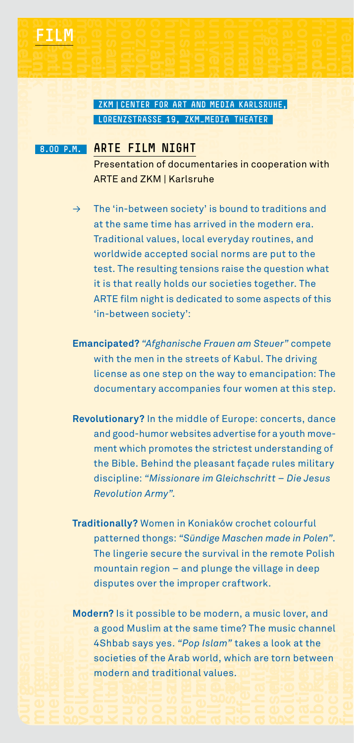#### **nation**<br> **universality**<br> **universality**<br> **Presentation citizen**<br> **citizen**<br> **c**itizen<br> **c**itizen<br> **c**itizen<br> **c**itizen<br> **c**itizen<br> **c**itizen<br> **c**itizen<br> **c**itizen<br> **c**itizen<br> **c**itizen<br> **c**itizen<br> **c**itizen<br> **c**itizen<br> **c**itizen<br> **c**itizen<br> **c**itizen<br> **c**itizen<br> **c**itizen<br> **c free Contracts**<br>**MEDIA**<br>**Station nationalities oberschichter**<br>The Reserves **nationalitäten**<br>**per kollektiv geselligkeit mehrheit gemeinschaften**<br>Eine Heitsehreit gemeinschaften<br>Eine der Aber **zusammenleben**<br>**politik soziologie**<br>**in center**<br>**ite fil cohabit human beings zusammenlige**<br>Externalistics<br>Formulations **nationality democracy**<br> **human rights**<br> **human rights**<br> **human rights**<br> **human rights nationalities menschenrechte ZKM |Center for Art and Media Karlsruhe, LorenzstraSSe 19, ZKM\_Media Theater**

**cohabit <b>human** beings **beings human** beings **beings human** beings **beings human** beings **human** beings **human** beings **human** beings **human** beings **human** beings **human** beings **human** beings **human** beings **human** 

**öffentlichkeit allgemeinheit Film**

**demokratie**  rot gemeinde gemeinde gemeinde gemeinde gemeinde gemeinde gemeinde gemeinde gemeinde gemeinde gemeinde gemeind<br>Bemeinde gemeinde gemeinde gemeinde gemeinde gemeinde gemeinde gemeinde gemeinde gemeinde gemeinde gemeinde ge

a**uhangk**<br>2esellifi oddira

#### **8.00 P.M. ARTE FILM NIGH**

**communities**<br> **communities mittelklasse society**  Presentation of documentaries in cooperation with ARTE and ZKM | Karlsruhe

**citizen together**

**communities friendship municipality**

**freundschaft society** 

 $\rightarrow$  The 'in-between society' is bound to traditions and at the same time has arrived in the modern era. Traditional values, local everyday routines, and worldwide accepted social norms are put to the test. The resulting tensions raise the question what it is that really holds our societies together. The ARTE film night is dedicated to some aspects of this 'in-between society':

- **Emancipated?** *"Afghanische Frauen am Steuer"* compete with the men in the streets of Kabul. The driving license as one step on the way to emancipation: The documentary accompanies four women at this step.
- **Revolutionary?** In the middle of Europe: concerts, dance and good-humor websites advertise for a youth movement which promotes the strictest understanding of the Bible. Behind the pleasant façade rules military discipline: *"Missionare im Gleichschritt – Die Jesus Revolution Army".*
- **Traditionally?** Women in Koniaków crochet colourful patterned thongs: *"Sündige Maschen made in Polen"*. The lingerie secure the survival in the remote Polish mountain region – and plunge the village in deep disputes over the improper craftwork.
- **gemeinschaften beschaften bei der menschaften beschen Antagen beschen Antagen beschen Antagen beschen Antagen**<br>**Ferenzen beschen Antagen beschen Antagen nationalitäten v** di<br>**der**<br>**a** 4 sc<br>**m demokratie B**<br>Belief<br>Belief<br>Belief **g** it possible to be mod<br>**d** Muslim at the same t<br>ab says yes. "Pop Islan<br>ties of the Arab world,<br>rn and traditional valu **se**<br>**ssi**<br>**ssi**<br>**lim**<br>**sy**<br>the **zugehörichkeit soziologie zusammenließen** perafty<br>
ern, a<br>
ime?<br>
<sup>2</sup>" tak<br>
which<br>
es. **allet**<br>**allet**<br>**allet**<br>**allet**<br>**allet**<br>**allet**<br>**allet**<br>**allet**<br>**allet**<br>**allet i**<br>**i**sid<br>in<br>in **ger, and<br>chand**<br>at the<br>betwe **d**<br> **o**<br> **o**<br> **o**<br> **o demokratie and kulture**<br> **kulture zugehörich society**<br>d Muslim at the Says yes.<br>ties of the Arm<br>and traditional contracts<br>and the San Contracts<br> $\overline{D}$  of  $\overline{D}$ <br> $\overline{D}$  of  $\overline{D}$ **generic to be i**<br>the sail "*Pop I*<br>ab wo<br>ional verified and the conditional  $\theta$ **allet**<br>**allgement**<br>**allet**<br>**zubsammen**<br>**zubsammen**<br>**zubsammen**<br>**zubsammen of**<br>tak<br>ich<br>io **and an idea is a look**<br>**are torn**<br>**and an idea is a set of a**<br>**collection**<br>**collective nationalität externalist external in the conduct of the conduct of the conduct of the conduct of the conduct of the conduct of the conduct of the conduct of the conduct of the conduct of the conduct of the conduct of the oberschicht**<br>**oberschiedlich society**<br>Society<br>freus **Modern?** Is it possible to be modern, a music lover, and a good Muslim at the same time? The music channel 4Shbab says yes. *"Pop Islam"* takes a look at the societies of the Arab world, which are torn between modern and traditional values.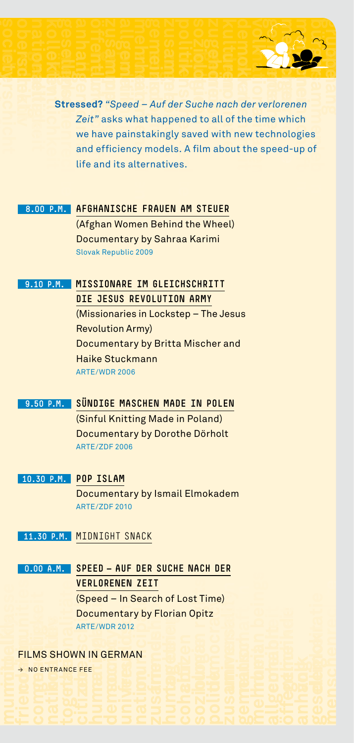**öffentlichkeit menschere**<br> **tresse**<br> **zei**<br> **we**<br> **and**<br> **life freundschaft**<br> **f**reundschaft<br> **freundschaft political**<br> **peed – Auf der Suche n**<br> **is what happened to all**<br> **nainstakingly saved with zusammenlight**<br> **zusammenlight**<br> **zusammenlight**<br> **zusammenlight**<br> **zusammenlight**<br> **x menscher State**<br> **menschenrechte**<br> **menschenrechte**<br> **menschenrechte**<br> **s demokratie a**<br>**definition**<br>**of**<br>**th** is ou **volk**<br>and define<br>theith then **nationalitäten**<br> **n**<br> **n**<br> **n**<br> **n**<br> **n**<br> **e**<br> **e menscher Bürger († 1848)**<br>Filosopher Burger († 1859)<br>Bened-up († 1859)<br>Peed-up († 1859) **zusammenleben**<br>and the state of the state of the state of the state of the state of the state of the state of the state of the state of the state of the state of the state of the state of the state of the state of the sta elligkeit<br> **kollektiv geselligen geselligen**<br> **anhangeit in Stresse**<br> **andalogische stresse öffentlichkeit zusammenligen**<br> *zusammenligen***<br>** *zusammenligen***<br>** *ficiend***<br>** *d* **its a mehrheit**<br> **mehrheit**<br> **d** – Australia<br> **stakin**<br> **staking zusammenleben<br>
<b>politik soziologie**<br> **politik soziologie**<br> **politik soziologie**<br> **politik soziologie**<br> **politik soziologie**<br> **politik soziologie**<br> **politik soziologie**<br> **politik soziologie**<br> **politik soziologie demokratie volk gemeinde menscher Konstantine**<br>
Menschen<br>
Bed-I menschen bei der gruppe aufgebäutet der antischen Belanden aufgebäutet der Erstehnung und der Erstehnung und der Fr<br>Eine der Erstehnung und der Erstehnung und der Erstehnung und der Erstehnung und der Erstehnung und der Er **menschenrechte and in the speed – Auf der Suche nach der verlorenen**<br> **Stressed?** "Speed – Auf der Suche nach der verlorenen<br>
Zeit" asks what happened to all of the time which<br>
we have painstakingly saved with new technol *Zeit"* asks what happened to all of the time which we have painstakingly saved with new technologies and efficiency models. A film about the speed-up of life and its alternatives.

**kulturen** 

#### **8.00 p.m. Afghanische Frauen am Steuer**

(Afghan Women Behind the Wheel) Documentary by Sahraa Karimi Slovak Republic 2009

#### **9.10 p.m. Missionare im Gleichschritt**

**etverschicht kollektiv geselligkeit**

**freundschaft society oberschicht nationalitäten** 

#### **Die Jesus Revolution Army**

(Missionaries in Lockstep – The Jesus Revolution Army) Documentary by Britta Mischer and Haike Stuckmann ARTE/WDR 2006

#### **9.50 p.m. Sündige Maschen made in Polen**

(Sinful Knitting Made in Poland) Documentary by Dorothe Dörholt ARTE/ZDF 2006

#### **10.30 p.m. Pop Islam**

Documentary by Ismail Elmokadem ARTE/ZDF 2010

**11.30 p.m.** Midnight snack

**communities geselligkeit kollektiv n.**<br> **hand**<br> **hand IOD**<br> **DO**<br> **AR**<br> **VN**<br> **EFE nde**<br> **cur**<br> **nationality**<br> **n**<br> **e RENEN<br>d – In :<br>mentar<br>vDR 201:<br>GERM/ municipality friendship together citizen human rights**<br> **democracy of the mocracy**<br> **democracy of the mocracy**<br> **democracy nation FILMS**<br> **FILMS**<br> **COMMUNITIES nationalities https://work.com/democracy**<br> **in GERMAN**<br> **democracy of the motion**<br> **democracy of the motion**<br> **democracy**<br> **democracy zusammenligen**<br>Nur benutzten den Europa<br>Nur benutzten den Europa **humtagedin**<br>Cohabit coha **soziologie politik zusammenleben 0.00 a.m. Speed — Auf der Suche nach der verlorenen Zeit** (Speed – In Search of Lost Time) Documentary by Florian Opitz ARTE/WDR 2012

# **town**<br> **city**<br> **c**ity<br> **c**ity<br> **c**ity Films shown in German

 $\rightarrow$  NO ENTRANCE FE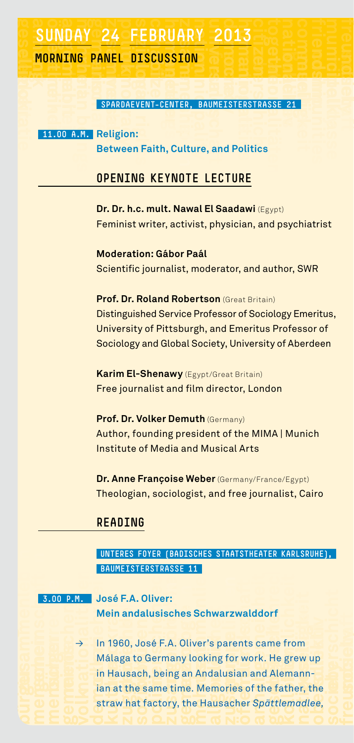# **geselligkeit an** SUNDAY 24 FEBRUARY 2013<br>MORNING PANEL DISCUSSION<br>SPARDAEVENT-CENTER, BAUMEISTERS<br>11.00 A.M. Religion:<br>Between Faith, Culture, and Polit **mehrheit gemeinschaften**<br> **mehrheit**<br>
M. R. B. **zusammen**<br>ER,<br>ultu **MORNING PANEL DISCUSSION**<br> **MORNING PANEL DISCUSSION**<br>
SPARDAEVENT-CENTER, BAUMEISTERSTRASSE 21<br>
11.00 A.M. Religion:<br>
Between Faith, Culture, and Politics

# **vorning panel discussion**<br> **SPARDAEVENT-CENTER,**<br> **MORAM Religion nationalitäten konstantinen konstantinen av Staten av Staten av Staten av Staten av Staten av Staten av Staten av Staten av Staten av Staten av Staten av Staten av Staten av Staten av Staten av Staten av Staten av Staten kollektiv geselligen geselligen geselligen gestelligen gestelligen gestelligt gestelligt gestelligt gestellig**<br>
21 **nationalities communities friendship municipality**

**communities mittelklasse society** 

**freundschaft society** 

**citizen together**

**comabit <b>human** being<br> **human** being<br> **human** beings **human** being<br> **human** beings **human** beings **human** being the state of the state of the state of the state of the state of the state of the state of the state of the s  **11.00 a.m. Religion:** 

**demokratie** 

**national Burgers**<br> **universality**<br> **democracy** *h***<br>
<b>democracy head**<br> **detween**<br> **e CUSSION**<br> **First Primericipality**<br> **T-CENTER, BA**<br> **Rith, Culture frage**<br>**SPREUNEIST**<br>**and P nationalities**<br> **du**<br> **oli**ties **oberschicht Between Faith, Culture, and Politics**

#### **Opening keynote lecture**

**Dr. Dr. h.c. mult. Nawal El Saadawi** (Egypt) Feminist writer, activist, physician, and psychiatrist

**Moderation: Gábor Paál** Scientific journalist, moderator, and author, SWR

#### **Prof. Dr. Roland Robertson** (Great Britain)

Distinguished Service Professor of Sociology Emeritus, University of Pittsburgh, and Emeritus Professor of Sociology and Global Society, University of Aberdeen

**Karim El-Shenawy** (Egypt/Great Britain) Free journalist and film director, London

**Prof. Dr. Volker Demuth** (Germany) Author, founding president of the MIMA | Munich Institute of Media and Musical Arts

**Dr. Anne Françoise Weber** (Germany/France/Egypt) Theologian, sociologist, and free journalist, Cairo

#### **Reading**

#### **UNTERES FOYER (Badisches Staatstheater Karlsruhe), BAUMEISTERSTRASSE 11**

**gemeinschaften bürger menschen Bürger menschen Bürger menschaften bürger menschen** <br>**Eine Bürger menschen Bürger menschen Bürger** menschen Bart auf dem Bart auf dem Bart auf dem Bart auf dem Bart auf<br>1980 – Die Antonio au **menschenrechte** 

 **3.00 p.m. José F.A. Oliver: Mein andalusisches Schwarzwalddorf**

**n.**<br> $\theta$   $\rightarrow$  0  $\rightarrow$  0  $\pm$  0  $\pm$ **v**<br>**v**<br>in<br>is **demokratie Beat**<br>**demokratie Beat**<br>**demokratie Beat**<br>Demokratie Beat **gemeindeal Schwa**<br>**60, José F.A. Oliver's p.<br>ga to Germany looking<br>usach, being an Andalı<br>t the same time. Memo menscher**<br>**live**<br>sé F<br>aer<br>, becham **zugehörich:**<br>**zusammenlight**<br>**zusammenlight**<br>**z**<br>**zusammenlight**<br>**sociologies**<br>**example**<br>**sociologies**<br>**example**<br>**example graph**<br>**great**<br>**for** we<br>**y**<br>**sian**<br>**ries** o **alleater<br>ddorf<br>brk. He<br>and Al<br>f the f i**<br>Frientlichkeit<br>Frientlichkeit<br>Frientlichkeit **g**<br>ew up<br>ann-<br>er. the gemeiende<br>Volknatio<sup>v</sup> **demokration in the control of the control of the control of the control of the control of the control of the control of the control of the control of the control of the control of the control of the control of the control kulturen**<br> **kulturen a**<br> **kulturen a**<br> **kulturen a**<br> **kulturen a**<br> **kulturen a zugehörich and<br>alusisch biologies**<br>**follogie political**<br>**zusammenleben**<br>**follogies**<br>**political**<br>**political**<br>**political**<br>**political**<br>**political ges Sc<br>
Oliver**<br> **g** an Ar<br> **me. M**<br> **he H hwarz**<br>is pare<br>dalusi<br>emorie<br>ausac **wal**<br>ents<br>an<br>es o<br>er:O **and find the selling of the fath**<br>**and Alem**<br>**f** the fath<br>**Spättlem n**<br> **n**<br> **n**<br> **n**<br> **n**<br> **n**<br> **n**<br> **n up**<br>the<br>ee, → In 1960, José F.A. Oliver's parents came from Málaga to Germany looking for work. He grew up in Hausach, being an Andalusian and Alemannian at the same time. Memories of the father, the straw hat factory, the Hausacher *Spättlemadlee,*